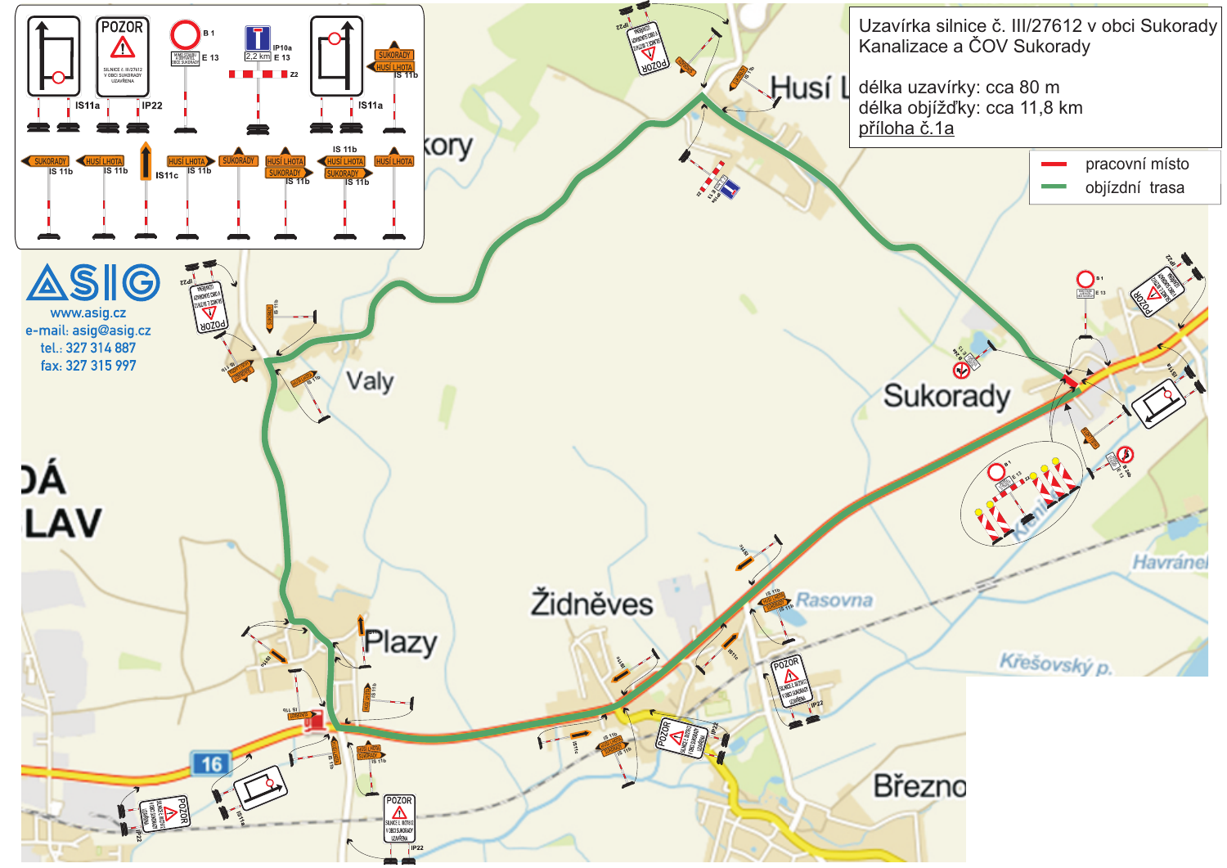